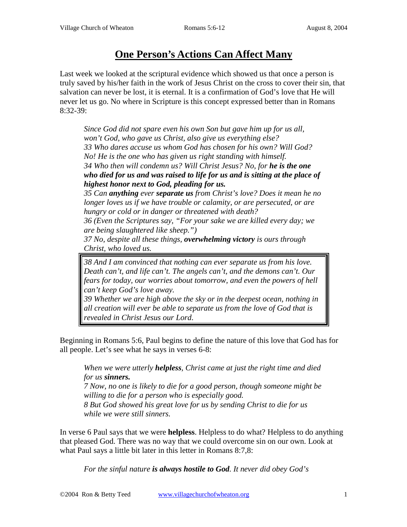## **One Person's Actions Can Affect Many**

Last week we looked at the scriptural evidence which showed us that once a person is truly saved by his/her faith in the work of Jesus Christ on the cross to cover their sin, that salvation can never be lost, it is eternal. It is a confirmation of God's love that He will never let us go. No where in Scripture is this concept expressed better than in Romans 8:32-39:

*Since God did not spare even his own Son but gave him up for us all, won't God, who gave us Christ, also give us everything else? 33 Who dares accuse us whom God has chosen for his own? Will God? No! He is the one who has given us right standing with himself. 34 Who then will condemn us? Will Christ Jesus? No, for he is the one who died for us and was raised to life for us and is sitting at the place of highest honor next to God, pleading for us.* 

*35 Can anything ever separate us from Christ's love? Does it mean he no longer loves us if we have trouble or calamity, or are persecuted, or are hungry or cold or in danger or threatened with death?* 

*36 (Even the Scriptures say, "For your sake we are killed every day; we are being slaughtered like sheep.")* 

*37 No, despite all these things, overwhelming victory is ours through Christ, who loved us.* 

*38 And I am convinced that nothing can ever separate us from his love. Death can't, and life can't. The angels can't, and the demons can't. Our fears for today, our worries about tomorrow, and even the powers of hell can't keep God's love away.* 

*39 Whether we are high above the sky or in the deepest ocean, nothing in all creation will ever be able to separate us from the love of God that is revealed in Christ Jesus our Lord*.

Beginning in Romans 5:6, Paul begins to define the nature of this love that God has for all people. Let's see what he says in verses 6-8:

*When we were utterly helpless, Christ came at just the right time and died for us sinners. 7 Now, no one is likely to die for a good person, though someone might be willing to die for a person who is especially good. 8 But God showed his great love for us by sending Christ to die for us while we were still sinners.* 

In verse 6 Paul says that we were **helpless**. Helpless to do what? Helpless to do anything that pleased God. There was no way that we could overcome sin on our own. Look at what Paul says a little bit later in this letter in Romans 8:7,8:

*For the sinful nature is always hostile to God. It never did obey God's*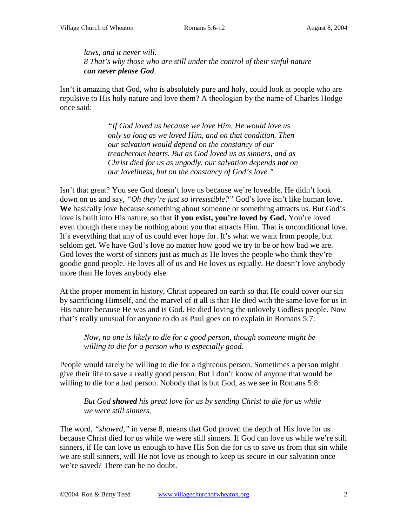## *laws, and it never will. 8 That's why those who are still under the control of their sinful nature can never please God.*

Isn't it amazing that God, who is absolutely pure and holy, could look at people who are repulsive to His holy nature and love them? A theologian by the name of Charles Hodge once said:

> *"If God loved us because we love Him, He would love us only so long as we loved Him, and on that condition. Then our salvation would depend on the constancy of our treacherous hearts. But as God loved us as sinners, and as Christ died for us as ungodly, our salvation depends not on our loveliness, but on the constancy of God's love."*

Isn't that great? You see God doesn't love us because we're loveable. He didn't look down on us and say, *"Oh they're just so irresistible?"* God's love isn't like human love. **We** basically love because something about someone or something attracts us. But God's love is built into His nature, so that **if you exist, you're loved by God.** You're loved even though there may be nothing about you that attracts Him. That is unconditional love. It's everything that any of us could ever hope for. It's what we want from people, but seldom get. We have God's love no matter how good we try to be or how bad we are. God loves the worst of sinners just as much as He loves the people who think they're goodie good people. He loves all of us and He loves us equally. He doesn't love anybody more than He loves anybody else.

At the proper moment in history, Christ appeared on earth so that He could cover our sin by sacrificing Himself, and the marvel of it all is that He died with the same love for us in His nature because He was and is God. He died loving the unlovely Godless people. Now that's really unusual for anyone to do as Paul goes on to explain in Romans 5:7:

*Now, no one is likely to die for a good person, though someone might be willing to die for a person who is especially good.* 

People would rarely be willing to die for a righteous person. Sometimes a person might give their life to save a really good person. But I don't know of anyone that would be willing to die for a bad person. Nobody that is but God, as we see in Romans 5:8:

*But God showed his great love for us by sending Christ to die for us while we were still sinners.* 

The word, *"showed,"* in verse 8, means that God proved the depth of His love for us because Christ died for us while we were still sinners. If God can love us while we're still sinners, if He can love us enough to have His Son die for us to save us from that sin while we are still sinners, will He not love us enough to keep us secure in our salvation once we're saved? There can be no doubt.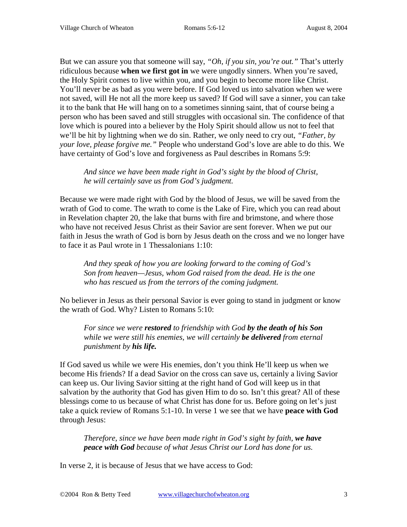But we can assure you that someone will say, *"Oh, if you sin, you're out."* That's utterly ridiculous because **when we first got in** we were ungodly sinners. When you're saved, the Holy Spirit comes to live within you, and you begin to become more like Christ. You'll never be as bad as you were before. If God loved us into salvation when we were not saved, will He not all the more keep us saved? If God will save a sinner, you can take it to the bank that He will hang on to a sometimes sinning saint, that of course being a person who has been saved and still struggles with occasional sin. The confidence of that love which is poured into a believer by the Holy Spirit should allow us not to feel that we'll be hit by lightning when we do sin. Rather, we only need to cry out, *"Father, by your love, please forgive me."* People who understand God's love are able to do this. We have certainty of God's love and forgiveness as Paul describes in Romans 5:9:

*And since we have been made right in God's sight by the blood of Christ, he will certainly save us from God's judgment.* 

Because we were made right with God by the blood of Jesus, we will be saved from the wrath of God to come. The wrath to come is the Lake of Fire, which you can read about in Revelation chapter 20, the lake that burns with fire and brimstone, and where those who have not received Jesus Christ as their Savior are sent forever. When we put our faith in Jesus the wrath of God is born by Jesus death on the cross and we no longer have to face it as Paul wrote in 1 Thessalonians 1:10:

*And they speak of how you are looking forward to the coming of God's Son from heaven—Jesus, whom God raised from the dead. He is the one who has rescued us from the terrors of the coming judgment.*

No believer in Jesus as their personal Savior is ever going to stand in judgment or know the wrath of God. Why? Listen to Romans 5:10:

*For since we were restored to friendship with God by the death of his Son while we were still his enemies, we will certainly be delivered from eternal punishment by his life.* 

If God saved us while we were His enemies, don't you think He'll keep us when we become His friends? If a dead Savior on the cross can save us, certainly a living Savior can keep us. Our living Savior sitting at the right hand of God will keep us in that salvation by the authority that God has given Him to do so. Isn't this great? All of these blessings come to us because of what Christ has done for us. Before going on let's just take a quick review of Romans 5:1-10. In verse 1 we see that we have **peace with God**  through Jesus:

*Therefore, since we have been made right in God's sight by faith, we have peace with God because of what Jesus Christ our Lord has done for us.* 

In verse 2, it is because of Jesus that we have access to God: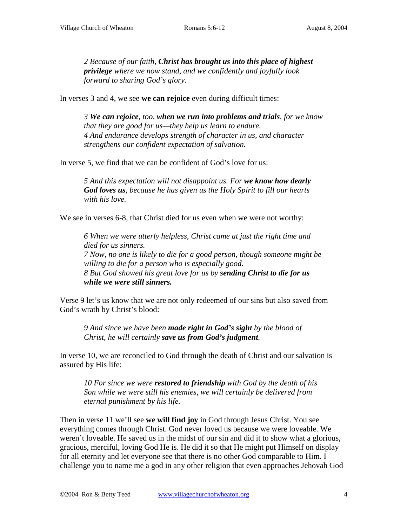*2 Because of our faith, Christ has brought us into this place of highest privilege where we now stand, and we confidently and joyfully look forward to sharing God's glory.* 

In verses 3 and 4, we see **we can rejoice** even during difficult times:

*3 We can rejoice, too, when we run into problems and trials, for we know that they are good for us—they help us learn to endure. 4 And endurance develops strength of character in us, and character strengthens our confident expectation of salvation.* 

In verse 5, we find that we can be confident of God's love for us:

*5 And this expectation will not disappoint us. For we know how dearly God loves us, because he has given us the Holy Spirit to fill our hearts with his love.* 

We see in verses 6-8, that Christ died for us even when we were not worthy:

*6 When we were utterly helpless, Christ came at just the right time and died for us sinners. 7 Now, no one is likely to die for a good person, though someone might be willing to die for a person who is especially good. 8 But God showed his great love for us by sending Christ to die for us while we were still sinners.* 

Verse 9 let's us know that we are not only redeemed of our sins but also saved from God's wrath by Christ's blood:

*9 And since we have been made right in God's sight by the blood of Christ, he will certainly save us from God's judgment.* 

In verse 10, we are reconciled to God through the death of Christ and our salvation is assured by His life:

*10 For since we were restored to friendship with God by the death of his Son while we were still his enemies, we will certainly be delivered from eternal punishment by his life.* 

Then in verse 11 we'll see **we will find joy** in God through Jesus Christ. You see everything comes through Christ. God never loved us because we were loveable. We weren't loveable. He saved us in the midst of our sin and did it to show what a glorious, gracious, merciful, loving God He is. He did it so that He might put Himself on display for all eternity and let everyone see that there is no other God comparable to Him. I challenge you to name me a god in any other religion that even approaches Jehovah God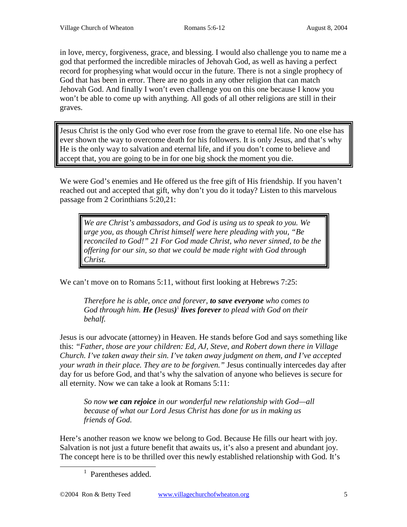in love, mercy, forgiveness, grace, and blessing. I would also challenge you to name me a god that performed the incredible miracles of Jehovah God, as well as having a perfect record for prophesying what would occur in the future. There is not a single prophecy of God that has been in error. There are no gods in any other religion that can match Jehovah God. And finally I won't even challenge you on this one because I know you won't be able to come up with anything. All gods of all other religions are still in their graves.

Jesus Christ is the only God who ever rose from the grave to eternal life. No one else has ever shown the way to overcome death for his followers. It is only Jesus, and that's why He is the only way to salvation and eternal life, and if you don't come to believe and accept that, you are going to be in for one big shock the moment you die.

We were God's enemies and He offered us the free gift of His friendship. If you haven't reached out and accepted that gift, why don't you do it today? Listen to this marvelous passage from 2 Corinthians 5:20,21:

*We are Christ's ambassadors, and God is using us to speak to you. We urge you, as though Christ himself were here pleading with you, "Be reconciled to God!" 21 For God made Christ, who never sinned, to be the offering for our sin, so that we could be made right with God through Christ.*

We can't move on to Romans 5:11, without first looking at Hebrews 7:25:

*Therefore he is able, once and forever, to save everyone who comes to God through him. He (*Jesus*)* <sup>1</sup> *lives forever to plead with God on their behalf.*

Jesus is our advocate (attorney) in Heaven. He stands before God and says something like this: *"Father, those are your children: Ed, AJ, Steve, and Robert down there in Village Church. I've taken away their sin. I've taken away judgment on them, and I've accepted your wrath in their place. They are to be forgiven."* Jesus continually intercedes day after day for us before God, and that's why the salvation of anyone who believes is secure for all eternity. Now we can take a look at Romans 5:11:

*So now we can rejoice in our wonderful new relationship with God—all because of what our Lord Jesus Christ has done for us in making us friends of God.*

Here's another reason we know we belong to God. Because He fills our heart with joy. Salvation is not just a future benefit that awaits us, it's also a present and abundant joy. The concept here is to be thrilled over this newly established relationship with God. It's

<sup>&</sup>lt;u>1</u> <sup>1</sup> Parentheses added.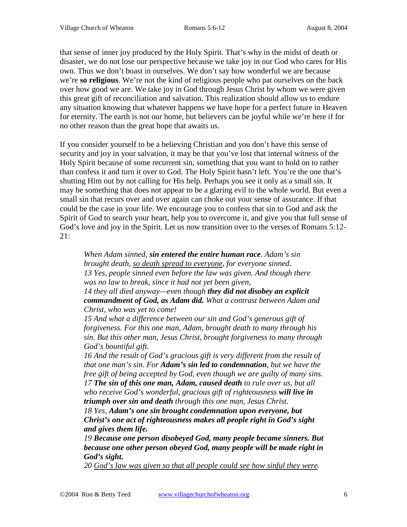that sense of inner joy produced by the Holy Spirit. That's why in the midst of death or disaster, we do not lose our perspective because we take joy in our God who cares for His own. Thus we don't boast in ourselves. We don't say how wonderful we are because we're **so religious**. We're not the kind of religious people who pat ourselves on the back over how good we are. We take joy in God through Jesus Christ by whom we were given this great gift of reconciliation and salvation. This realization should allow us to endure any situation knowing that whatever happens we have hope for a perfect future in Heaven for eternity. The earth is not our home, but believers can be joyful while we're here if for no other reason than the great hope that awaits us.

If you consider yourself to be a believing Christian and you don't have this sense of security and joy in your salvation, it may be that you've lost that internal witness of the Holy Spirit because of some recurrent sin, something that you want to hold on to rather than confess it and turn it over to God. The Holy Spirit hasn't left. You're the one that's shutting Him out by not calling for His help. Perhaps you see it only as a small sin. It may be something that does not appear to be a glaring evil to the whole world. But even a small sin that recurs over and over again can choke out your sense of assurance. If that could be the case in your life. We encourage you to confess that sin to God and ask the Spirit of God to search your heart, help you to overcome it, and give you that full sense of God's love and joy in the Spirit. Let us now transition over to the verses of Romans 5:12- 21:

*When Adam sinned, sin entered the entire human race. Adam's sin brought death, so death spread to everyone, for everyone sinned. 13 Yes, people sinned even before the law was given. And though there was no law to break, since it had not yet been given, 14 they all died anyway—even though they did not disobey an explicit commandment of God, as Adam did. What a contrast between Adam and* 

*Christ, who was yet to come!* 

*15 And what a difference between our sin and God's generous gift of forgiveness. For this one man, Adam, brought death to many through his sin. But this other man, Jesus Christ, brought forgiveness to many through God's bountiful gift.* 

*16 And the result of God's gracious gift is very different from the result of that one man's sin. For Adam's sin led to condemnation, but we have the free gift of being accepted by God, even though we are guilty of many sins. 17 The sin of this one man, Adam, caused death to rule over us, but all who receive God's wonderful, gracious gift of righteousness will live in triumph over sin and death through this one man, Jesus Christ.* 

*18 Yes, Adam's one sin brought condemnation upon everyone, but Christ's one act of righteousness makes all people right in God's sight and gives them life.* 

*19 Because one person disobeyed God, many people became sinners. But because one other person obeyed God, many people will be made right in God's sight.* 

*20 God's law was given so that all people could see how sinful they were.*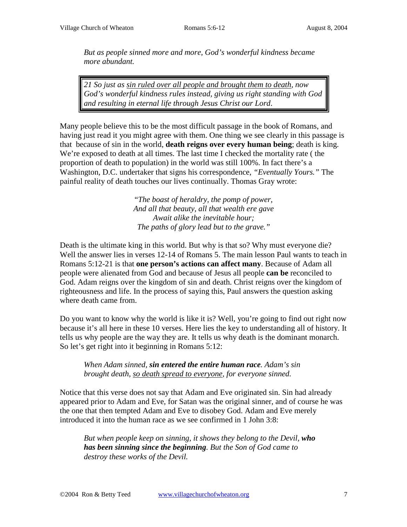*But as people sinned more and more, God's wonderful kindness became more abundant.* 

*21 So just as sin ruled over all people and brought them to death, now God's wonderful kindness rules instead, giving us right standing with God and resulting in eternal life through Jesus Christ our Lord*.

Many people believe this to be the most difficult passage in the book of Romans, and having just read it you might agree with them. One thing we see clearly in this passage is that because of sin in the world, **death reigns over every human being**; death is king. We're exposed to death at all times. The last time I checked the mortality rate ( the proportion of death to population) in the world was still 100%. In fact there's a Washington, D.C. undertaker that signs his correspondence, *"Eventually Yours."* The painful reality of death touches our lives continually. Thomas Gray wrote:

> "*The boast of heraldry, the pomp of power, And all that beauty, all that wealth ere gave Await alike the inevitable hour; The paths of glory lead but to the grave."*

Death is the ultimate king in this world. But why is that so? Why must everyone die? Well the answer lies in verses 12-14 of Romans 5. The main lesson Paul wants to teach in Romans 5:12-21 is that **one person's actions can affect many**. Because of Adam all people were alienated from God and because of Jesus all people **can be** reconciled to God. Adam reigns over the kingdom of sin and death. Christ reigns over the kingdom of righteousness and life. In the process of saying this, Paul answers the question asking where death came from.

Do you want to know why the world is like it is? Well, you're going to find out right now because it's all here in these 10 verses. Here lies the key to understanding all of history. It tells us why people are the way they are. It tells us why death is the dominant monarch. So let's get right into it beginning in Romans 5:12:

*When Adam sinned, sin entered the entire human race. Adam's sin brought death, so death spread to everyone, for everyone sinned.* 

Notice that this verse does not say that Adam and Eve originated sin. Sin had already appeared prior to Adam and Eve, for Satan was the original sinner, and of course he was the one that then tempted Adam and Eve to disobey God. Adam and Eve merely introduced it into the human race as we see confirmed in 1 John 3:8:

*But when people keep on sinning, it shows they belong to the Devil, who has been sinning since the beginning. But the Son of God came to destroy these works of the Devil.*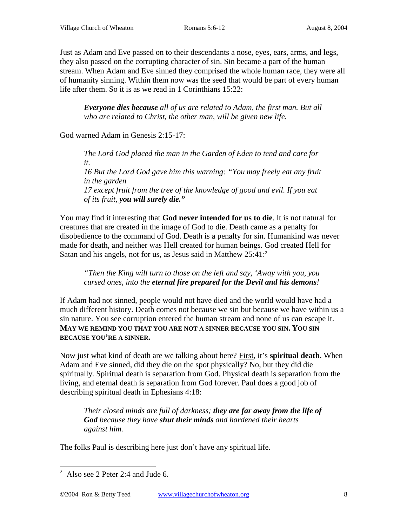Just as Adam and Eve passed on to their descendants a nose, eyes, ears, arms, and legs, they also passed on the corrupting character of sin. Sin became a part of the human stream. When Adam and Eve sinned they comprised the whole human race, they were all of humanity sinning. Within them now was the seed that would be part of every human life after them. So it is as we read in 1 Corinthians 15:22:

*Everyone dies because all of us are related to Adam, the first man. But all who are related to Christ, the other man, will be given new life.* 

God warned Adam in Genesis 2:15-17:

*The Lord God placed the man in the Garden of Eden to tend and care for it. 16 But the Lord God gave him this warning: "You may freely eat any fruit in the garden 17 except fruit from the tree of the knowledge of good and evil. If you eat of its fruit, you will surely die."*

You may find it interesting that **God never intended for us to die**. It is not natural for creatures that are created in the image of God to die. Death came as a penalty for disobedience to the command of God. Death is a penalty for sin. Humankind was never made for death, and neither was Hell created for human beings. God created Hell for Satan and his angels, not for us, as Jesus said in Matthew 25:41:<sup>2</sup>

## *"Then the King will turn to those on the left and say, 'Away with you, you cursed ones, into the eternal fire prepared for the Devil and his demons!*

If Adam had not sinned, people would not have died and the world would have had a much different history. Death comes not because we sin but because we have within us a sin nature. You see corruption entered the human stream and none of us can escape it. **MAY WE REMIND YOU THAT YOU ARE NOT A SINNER BECAUSE YOU SIN. YOU SIN BECAUSE YOU'RE A SINNER.**

Now just what kind of death are we talking about here? First, it's **spiritual death**. When Adam and Eve sinned, did they die on the spot physically? No, but they did die spiritually. Spiritual death is separation from God. Physical death is separation from the living, and eternal death is separation from God forever. Paul does a good job of describing spiritual death in Ephesians 4:18:

*Their closed minds are full of darkness; they are far away from the life of God because they have shut their minds and hardened their hearts against him.* 

The folks Paul is describing here just don't have any spiritual life.

 $\overline{a^2}$  Also see 2 Peter 2:4 and Jude 6.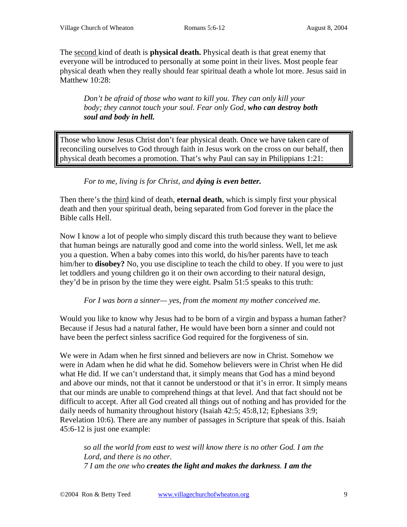The second kind of death is **physical death.** Physical death is that great enemy that everyone will be introduced to personally at some point in their lives. Most people fear physical death when they really should fear spiritual death a whole lot more. Jesus said in Matthew 10:28:

*Don't be afraid of those who want to kill you. They can only kill your body; they cannot touch your soul. Fear only God, who can destroy both soul and body in hell.*

Those who know Jesus Christ don't fear physical death. Once we have taken care of reconciling ourselves to God through faith in Jesus work on the cross on our behalf, then physical death becomes a promotion. That's why Paul can say in Philippians 1:21:

## *For to me, living is for Christ, and dying is even better.*

Then there's the third kind of death, **eternal death**, which is simply first your physical death and then your spiritual death, being separated from God forever in the place the Bible calls Hell.

Now I know a lot of people who simply discard this truth because they want to believe that human beings are naturally good and come into the world sinless. Well, let me ask you a question. When a baby comes into this world, do his/her parents have to teach him/her to **disobey?** No, you use discipline to teach the child to obey. If you were to just let toddlers and young children go it on their own according to their natural design, they'd be in prison by the time they were eight. Psalm 51:5 speaks to this truth:

*For I was born a sinner— yes, from the moment my mother conceived me.*

Would you like to know why Jesus had to be born of a virgin and bypass a human father? Because if Jesus had a natural father, He would have been born a sinner and could not have been the perfect sinless sacrifice God required for the forgiveness of sin.

We were in Adam when he first sinned and believers are now in Christ. Somehow we were in Adam when he did what he did. Somehow believers were in Christ when He did what He did. If we can't understand that, it simply means that God has a mind beyond and above our minds, not that it cannot be understood or that it's in error. It simply means that our minds are unable to comprehend things at that level. And that fact should not be difficult to accept. After all God created all things out of nothing and has provided for the daily needs of humanity throughout history (Isaiah 42:5; 45:8,12; Ephesians 3:9; Revelation 10:6). There are any number of passages in Scripture that speak of this. Isaiah 45:6-12 is just one example:

*so all the world from east to west will know there is no other God. I am the Lord, and there is no other. 7 I am the one who creates the light and makes the darkness. I am the*